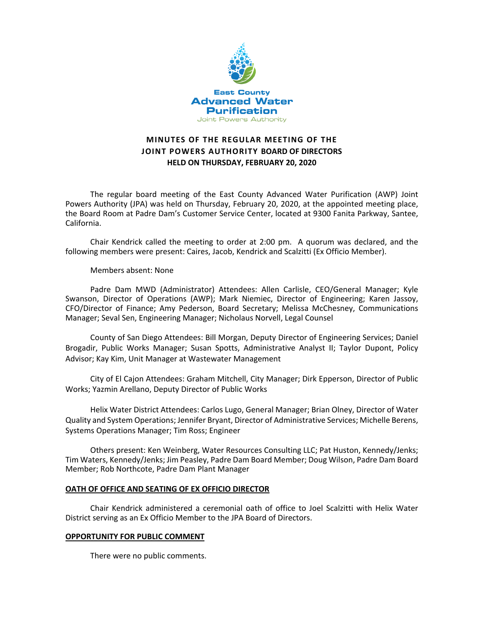

# **MINUTES OF THE REGULAR MEETING OF THE JOINT POWERS AUTHORITY BOARD OF DIRECTORS HELD ON THURSDAY, FEBRUARY 20, 2020**

The regular board meeting of the East County Advanced Water Purification (AWP) Joint Powers Authority (JPA) was held on Thursday, February 20, 2020, at the appointed meeting place, the Board Room at Padre Dam's Customer Service Center, located at 9300 Fanita Parkway, Santee, California.

Chair Kendrick called the meeting to order at 2:00 pm. A quorum was declared, and the following members were present: Caires, Jacob, Kendrick and Scalzitti (Ex Officio Member).

Members absent: None

Padre Dam MWD (Administrator) Attendees: Allen Carlisle, CEO/General Manager; Kyle Swanson, Director of Operations (AWP); Mark Niemiec, Director of Engineering; Karen Jassoy, CFO/Director of Finance; Amy Pederson, Board Secretary; Melissa McChesney, Communications Manager; Seval Sen, Engineering Manager; Nicholaus Norvell, Legal Counsel

County of San Diego Attendees: Bill Morgan, Deputy Director of Engineering Services; Daniel Brogadir, Public Works Manager; Susan Spotts, Administrative Analyst II; Taylor Dupont, Policy Advisor; Kay Kim, Unit Manager at Wastewater Management

City of El Cajon Attendees: Graham Mitchell, City Manager; Dirk Epperson, Director of Public Works; Yazmin Arellano, Deputy Director of Public Works

Helix Water District Attendees: Carlos Lugo, General Manager; Brian Olney, Director of Water Quality and System Operations; Jennifer Bryant, Director of Administrative Services; Michelle Berens, Systems Operations Manager; Tim Ross; Engineer

Others present: Ken Weinberg, Water Resources Consulting LLC; Pat Huston, Kennedy/Jenks; Tim Waters, Kennedy/Jenks; Jim Peasley, Padre Dam Board Member; Doug Wilson, Padre Dam Board Member; Rob Northcote, Padre Dam Plant Manager

#### **OATH OF OFFICE AND SEATING OF EX OFFICIO DIRECTOR**

Chair Kendrick administered a ceremonial oath of office to Joel Scalzitti with Helix Water District serving as an Ex Officio Member to the JPA Board of Directors.

#### **OPPORTUNITY FOR PUBLIC COMMENT**

There were no public comments.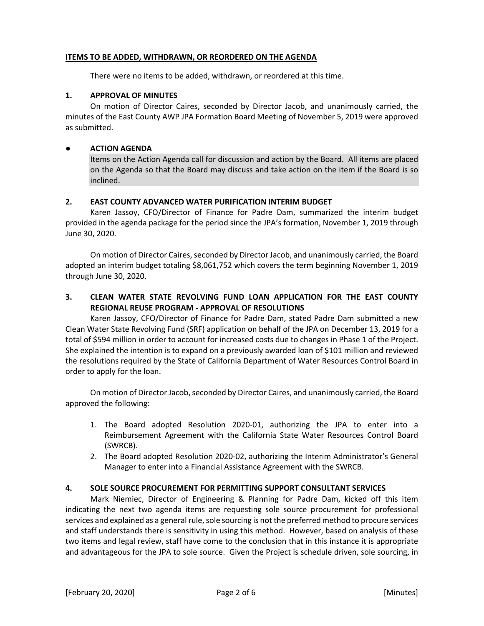#### **ITEMS TO BE ADDED, WITHDRAWN, OR REORDERED ON THE AGENDA**

There were no items to be added, withdrawn, or reordered at this time.

#### **1. APPROVAL OF MINUTES**

On motion of Director Caires, seconded by Director Jacob, and unanimously carried, the minutes of the East County AWP JPA Formation Board Meeting of November 5, 2019 were approved as submitted.

#### **● ACTION AGENDA**

Items on the Action Agenda call for discussion and action by the Board. All items are placed on the Agenda so that the Board may discuss and take action on the item if the Board is so inclined.

### **2. EAST COUNTY ADVANCED WATER PURIFICATION INTERIM BUDGET**

Karen Jassoy, CFO/Director of Finance for Padre Dam, summarized the interim budget provided in the agenda package for the period since the JPA's formation, November 1, 2019 through June 30, 2020.

On motion of Director Caires, seconded by Director Jacob, and unanimously carried, the Board adopted an interim budget totaling \$8,061,752 which covers the term beginning November 1, 2019 through June 30, 2020.

## **3. CLEAN WATER STATE REVOLVING FUND LOAN APPLICATION FOR THE EAST COUNTY REGIONAL REUSE PROGRAM - APPROVAL OF RESOLUTIONS**

Karen Jassoy, CFO/Director of Finance for Padre Dam, stated Padre Dam submitted a new Clean Water State Revolving Fund (SRF) application on behalf of the JPA on December 13, 2019 for a total of \$594 million in order to account for increased costs due to changes in Phase 1 of the Project. She explained the intention is to expand on a previously awarded loan of \$101 million and reviewed the resolutions required by the State of California Department of Water Resources Control Board in order to apply for the loan.

On motion of Director Jacob, seconded by Director Caires, and unanimously carried, the Board approved the following:

- 1. The Board adopted Resolution 2020-01, authorizing the JPA to enter into a Reimbursement Agreement with the California State Water Resources Control Board (SWRCB).
- 2. The Board adopted Resolution 2020-02, authorizing the Interim Administrator's General Manager to enter into a Financial Assistance Agreement with the SWRCB.

### **4. SOLE SOURCE PROCUREMENT FOR PERMITTING SUPPORT CONSULTANT SERVICES**

Mark Niemiec, Director of Engineering & Planning for Padre Dam, kicked off this item indicating the next two agenda items are requesting sole source procurement for professional services and explained as a general rule, sole sourcing is not the preferred method to procure services and staff understands there is sensitivity in using this method. However, based on analysis of these two items and legal review, staff have come to the conclusion that in this instance it is appropriate and advantageous for the JPA to sole source. Given the Project is schedule driven, sole sourcing, in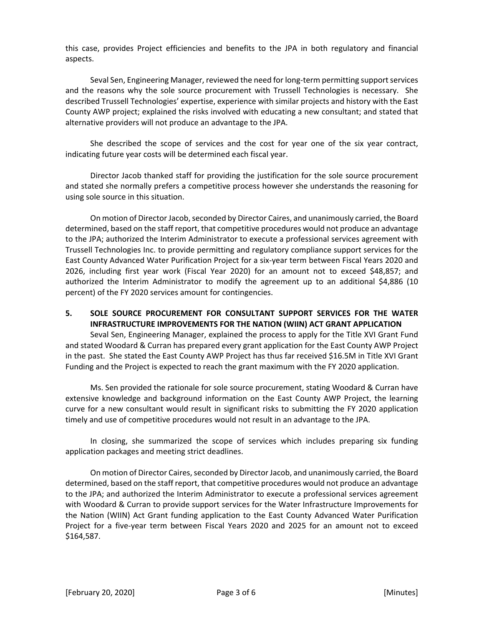this case, provides Project efficiencies and benefits to the JPA in both regulatory and financial aspects.

Seval Sen, Engineering Manager, reviewed the need for long-term permitting support services and the reasons why the sole source procurement with Trussell Technologies is necessary. She described Trussell Technologies' expertise, experience with similar projects and history with the East County AWP project; explained the risks involved with educating a new consultant; and stated that alternative providers will not produce an advantage to the JPA.

She described the scope of services and the cost for year one of the six year contract, indicating future year costs will be determined each fiscal year.

Director Jacob thanked staff for providing the justification for the sole source procurement and stated she normally prefers a competitive process however she understands the reasoning for using sole source in this situation.

On motion of Director Jacob, seconded by Director Caires, and unanimously carried, the Board determined, based on the staff report, that competitive procedures would not produce an advantage to the JPA; authorized the Interim Administrator to execute a professional services agreement with Trussell Technologies Inc. to provide permitting and regulatory compliance support services for the East County Advanced Water Purification Project for a six-year term between Fiscal Years 2020 and 2026, including first year work (Fiscal Year 2020) for an amount not to exceed \$48,857; and authorized the Interim Administrator to modify the agreement up to an additional \$4,886 (10 percent) of the FY 2020 services amount for contingencies.

### **5. SOLE SOURCE PROCUREMENT FOR CONSULTANT SUPPORT SERVICES FOR THE WATER INFRASTRUCTURE IMPROVEMENTS FOR THE NATION (WIIN) ACT GRANT APPLICATION**

Seval Sen, Engineering Manager, explained the process to apply for the Title XVI Grant Fund and stated Woodard & Curran has prepared every grant application for the East County AWP Project in the past. She stated the East County AWP Project has thus far received \$16.5M in Title XVI Grant Funding and the Project is expected to reach the grant maximum with the FY 2020 application.

Ms. Sen provided the rationale for sole source procurement, stating Woodard & Curran have extensive knowledge and background information on the East County AWP Project, the learning curve for a new consultant would result in significant risks to submitting the FY 2020 application timely and use of competitive procedures would not result in an advantage to the JPA.

In closing, she summarized the scope of services which includes preparing six funding application packages and meeting strict deadlines.

On motion of Director Caires, seconded by Director Jacob, and unanimously carried, the Board determined, based on the staff report, that competitive procedures would not produce an advantage to the JPA; and authorized the Interim Administrator to execute a professional services agreement with Woodard & Curran to provide support services for the Water Infrastructure Improvements for the Nation (WIIN) Act Grant funding application to the East County Advanced Water Purification Project for a five-year term between Fiscal Years 2020 and 2025 for an amount not to exceed \$164,587.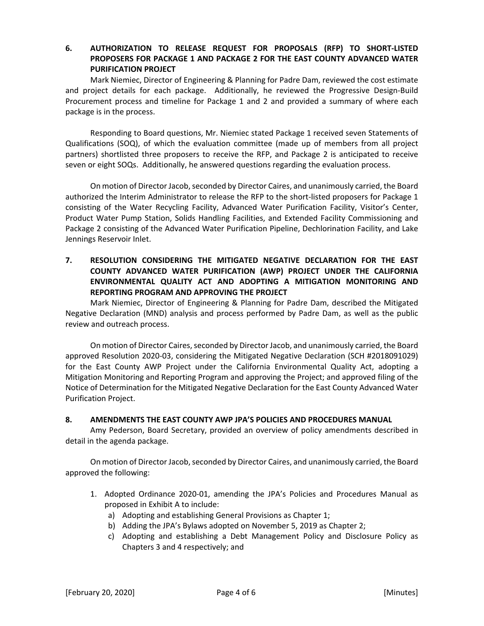# **6. AUTHORIZATION TO RELEASE REQUEST FOR PROPOSALS (RFP) TO SHORT-LISTED PROPOSERS FOR PACKAGE 1 AND PACKAGE 2 FOR THE EAST COUNTY ADVANCED WATER PURIFICATION PROJECT**

Mark Niemiec, Director of Engineering & Planning for Padre Dam, reviewed the cost estimate and project details for each package. Additionally, he reviewed the Progressive Design-Build Procurement process and timeline for Package 1 and 2 and provided a summary of where each package is in the process.

Responding to Board questions, Mr. Niemiec stated Package 1 received seven Statements of Qualifications (SOQ), of which the evaluation committee (made up of members from all project partners) shortlisted three proposers to receive the RFP, and Package 2 is anticipated to receive seven or eight SOQs. Additionally, he answered questions regarding the evaluation process.

On motion of Director Jacob, seconded by Director Caires, and unanimously carried, the Board authorized the Interim Administrator to release the RFP to the short-listed proposers for Package 1 consisting of the Water Recycling Facility, Advanced Water Purification Facility, Visitor's Center, Product Water Pump Station, Solids Handling Facilities, and Extended Facility Commissioning and Package 2 consisting of the Advanced Water Purification Pipeline, Dechlorination Facility, and Lake Jennings Reservoir Inlet.

# **7. RESOLUTION CONSIDERING THE MITIGATED NEGATIVE DECLARATION FOR THE EAST COUNTY ADVANCED WATER PURIFICATION (AWP) PROJECT UNDER THE CALIFORNIA ENVIRONMENTAL QUALITY ACT AND ADOPTING A MITIGATION MONITORING AND REPORTING PROGRAM AND APPROVING THE PROJECT**

Mark Niemiec, Director of Engineering & Planning for Padre Dam, described the Mitigated Negative Declaration (MND) analysis and process performed by Padre Dam, as well as the public review and outreach process.

On motion of Director Caires, seconded by Director Jacob, and unanimously carried, the Board approved Resolution 2020-03, considering the Mitigated Negative Declaration (SCH #2018091029) for the East County AWP Project under the California Environmental Quality Act, adopting a Mitigation Monitoring and Reporting Program and approving the Project; and approved filing of the Notice of Determination for the Mitigated Negative Declaration for the East County Advanced Water Purification Project.

### **8. AMENDMENTS THE EAST COUNTY AWP JPA'S POLICIES AND PROCEDURES MANUAL**

Amy Pederson, Board Secretary, provided an overview of policy amendments described in detail in the agenda package.

On motion of Director Jacob, seconded by Director Caires, and unanimously carried, the Board approved the following:

- 1. Adopted Ordinance 2020-01, amending the JPA's Policies and Procedures Manual as proposed in Exhibit A to include:
	- a) Adopting and establishing General Provisions as Chapter 1;
	- b) Adding the JPA's Bylaws adopted on November 5, 2019 as Chapter 2;
	- c) Adopting and establishing a Debt Management Policy and Disclosure Policy as Chapters 3 and 4 respectively; and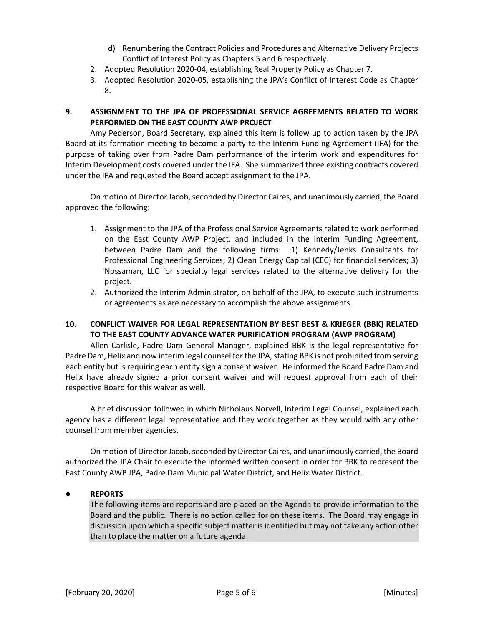- d) Renumbering the Contract Policies and Procedures and Alternative Delivery Projects Conflict of Interest Policy as Chapters 5 and 6 respectively.
- 2. Adopted Resolution 2020-04, establishing Real Property Policy as Chapter 7.
- 3. Adopted Resolution 2020-05, establishing the JPA's Conflict of Interest Code as Chapter 8.

# **9. ASSIGNMENT TO THE JPA OF PROFESSIONAL SERVICE AGREEMENTS RELATED TO WORK PERFORMED ON THE EAST COUNTY AWP PROJECT**

Amy Pederson, Board Secretary, explained this item is follow up to action taken by the JPA Board at its formation meeting to become a party to the Interim Funding Agreement (IFA) for the purpose of taking over from Padre Dam performance of the interim work and expenditures for Interim Development costs covered under the IFA. She summarized three existing contracts covered under the IFA and requested the Board accept assignment to the JPA.

On motion of Director Jacob, seconded by Director Caires, and unanimously carried, the Board approved the following:

- 1. Assignment to the JPA of the Professional Service Agreements related to work performed on the East County AWP Project, and included in the Interim Funding Agreement, between Padre Dam and the following firms: 1) Kennedy/Jenks Consultants for Professional Engineering Services; 2) Clean Energy Capital (CEC) for financial services; 3) Nossaman, LLC for specialty legal services related to the alternative delivery for the project.
- 2. Authorized the Interim Administrator, on behalf of the JPA, to execute such instruments or agreements as are necessary to accomplish the above assignments.

# **10. CONFLICT WAIVER FOR LEGAL REPRESENTATION BY BEST BEST & KRIEGER (BBK) RELATED TO THE EAST COUNTY ADVANCE WATER PURIFICATION PROGRAM (AWP PROGRAM)**

Allen Carlisle, Padre Dam General Manager, explained BBK is the legal representative for Padre Dam, Helix and now interim legal counsel for the JPA, stating BBK is not prohibited from serving each entity but is requiring each entity sign a consent waiver. He informed the Board Padre Dam and Helix have already signed a prior consent waiver and will request approval from each of their respective Board for this waiver as well.

A brief discussion followed in which Nicholaus Norvell, Interim Legal Counsel, explained each agency has a different legal representative and they work together as they would with any other counsel from member agencies.

On motion of Director Jacob, seconded by Director Caires, and unanimously carried, the Board authorized the JPA Chair to execute the informed written consent in order for BBK to represent the East County AWP JPA, Padre Dam Municipal Water District, and Helix Water District.

# **● REPORTS**

The following items are reports and are placed on the Agenda to provide information to the Board and the public. There is no action called for on these items. The Board may engage in discussion upon which a specific subject matter is identified but may not take any action other than to place the matter on a future agenda.